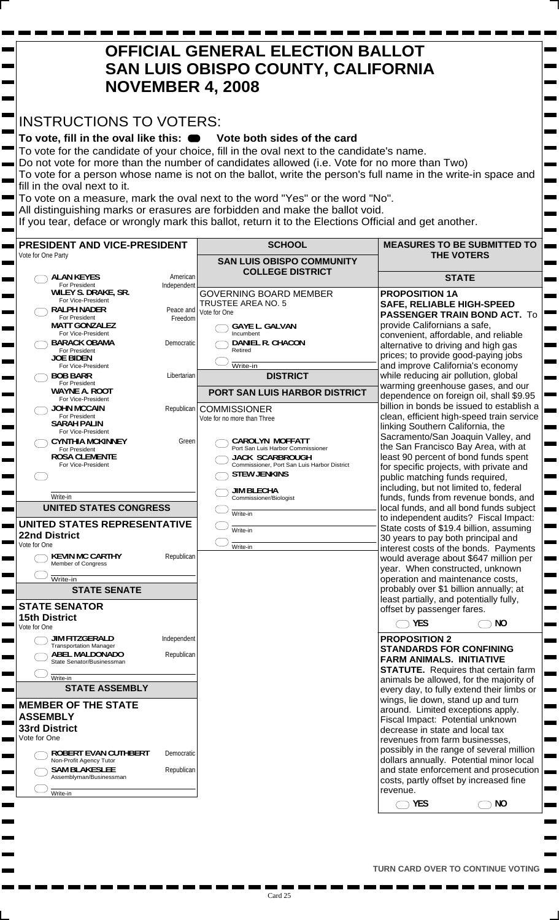## **OFFICIAL GENERAL ELECTION BALLOT SAN LUIS OBISPO COUNTY, CALIFORNIA NOVEMBER 4, 2008**

## INSTRUCTIONS TO VOTERS:

To vote, fill in the oval like this:  $\bullet\quad$  Vote both sides of the card

To vote for the candidate of your choice, fill in the oval next to the candidate's name.

Do not vote for more than the number of candidates allowed (i.e. Vote for no more than Two)

To vote for a person whose name is not on the ballot, write the person's full name in the write-in space and fill in the oval next to it.

To vote on a measure, mark the oval next to the word "Yes" or the word "No". All distinguishing marks or erasures are forbidden and make the ballot void.

If you tear, deface or wrongly mark this ballot, return it to the Elections Official and get another.

|                                                      | PRESIDENT AND VICE-PRESIDENT                                  | <b>SCHOOL</b>                                                      | <b>MEASURES TO BE SUBMITTED TO</b>                                                     |
|------------------------------------------------------|---------------------------------------------------------------|--------------------------------------------------------------------|----------------------------------------------------------------------------------------|
|                                                      | Vote for One Party                                            | <b>SAN LUIS OBISPO COMMUNITY</b>                                   | <b>THE VOTERS</b>                                                                      |
|                                                      | American<br><b>ALAN KEYES</b>                                 | <b>COLLEGE DISTRICT</b>                                            | <b>STATE</b>                                                                           |
|                                                      | For President<br>Independent<br><b>WILEY S. DRAKE, SR.</b>    | <b>GOVERNING BOARD MEMBER</b>                                      | <b>PROPOSITION 1A</b>                                                                  |
|                                                      | For Vice-President<br><b>RALPH NADER</b><br>Peace and         | TRUSTEE AREA NO. 5<br>Vote for One                                 | <b>SAFE, RELIABLE HIGH-SPEED</b>                                                       |
|                                                      | For President<br>Freedom<br><b>MATT GONZALEZ</b>              | <b>GAYE L. GALVAN</b>                                              | PASSENGER TRAIN BOND ACT. To<br>provide Californians a safe,                           |
|                                                      | For Vice-President<br><b>BARACK OBAMA</b><br>Democratic       | Incumbent<br><b>DANIEL R. CHACON</b>                               | convenient, affordable, and reliable                                                   |
|                                                      | For President<br><b>JOE BIDEN</b>                             | Retired                                                            | alternative to driving and high gas<br>prices; to provide good-paying jobs             |
|                                                      | For Vice-President                                            | Write-in                                                           | and improve California's economy                                                       |
|                                                      | <b>BOB BARR</b><br>Libertarian<br>For President               | <b>DISTRICT</b>                                                    | while reducing air pollution, global<br>warming greenhouse gases, and our              |
|                                                      | <b>WAYNE A. ROOT</b><br>For Vice-President                    | PORT SAN LUIS HARBOR DISTRICT                                      | dependence on foreign oil, shall \$9.95                                                |
|                                                      | <b>JOHN MCCAIN</b><br>For President                           | Republican   COMMISSIONER<br>Vote for no more than Three           | billion in bonds be issued to establish a<br>clean, efficient high-speed train service |
|                                                      | <b>SARAH PALIN</b><br>For Vice-President                      |                                                                    | linking Southern California, the                                                       |
|                                                      | <b>CYNTHIA MCKINNEY</b><br>Green                              | <b>CAROLYN MOFFATT</b><br>Port San Luis Harbor Commissioner        | Sacramento/San Joaquin Valley, and<br>the San Francisco Bay Area, with at              |
|                                                      | For President<br><b>ROSA CLEMENTE</b>                         | <b>JACK SCARBROUGH</b>                                             | least 90 percent of bond funds spent                                                   |
|                                                      | For Vice-President                                            | Commissioner, Port San Luis Harbor District<br><b>STEW JENKINS</b> | for specific projects, with private and<br>public matching funds required,             |
|                                                      |                                                               | <b>JIM BLECHA</b>                                                  | including, but not limited to, federal                                                 |
|                                                      | Write-in<br><b>UNITED STATES CONGRESS</b>                     | Commissioner/Biologist                                             | funds, funds from revenue bonds, and<br>local funds, and all bond funds subject        |
|                                                      |                                                               | Write-in                                                           | to independent audits? Fiscal Impact:                                                  |
| UNITED STATES REPRESENTATIVE<br><b>22nd District</b> |                                                               | Write-in                                                           | State costs of \$19.4 billion, assuming                                                |
|                                                      | Vote for One                                                  | Write-in                                                           | 30 years to pay both principal and<br>interest costs of the bonds. Payments            |
|                                                      | <b>KEVIN MC CARTHY</b><br>Republican<br>Member of Congress    |                                                                    | would average about \$647 million per                                                  |
|                                                      | Write-in                                                      |                                                                    | year. When constructed, unknown<br>operation and maintenance costs,                    |
|                                                      | <b>STATE SENATE</b>                                           |                                                                    | probably over \$1 billion annually; at                                                 |
|                                                      | <b>STATE SENATOR</b>                                          |                                                                    | least partially, and potentially fully,<br>offset by passenger fares.                  |
|                                                      | <b>15th District</b><br>Vote for One                          |                                                                    | <b>YES</b><br>NO                                                                       |
|                                                      | <b>JIM FITZGERALD</b><br>Independent                          |                                                                    | <b>PROPOSITION 2</b>                                                                   |
|                                                      | Transportation Manager<br>Republican<br><b>ABEL MALDONADO</b> |                                                                    | <b>STANDARDS FOR CONFINING</b>                                                         |
|                                                      | State Senator/Businessman                                     |                                                                    | <b>FARM ANIMALS. INITIATIVE</b><br><b>STATUTE.</b> Requires that certain farm          |
|                                                      | Write-in<br><b>STATE ASSEMBLY</b>                             |                                                                    | animals be allowed, for the majority of                                                |
|                                                      |                                                               |                                                                    | every day, to fully extend their limbs or<br>wings, lie down, stand up and turn        |
|                                                      | <b>MEMBER OF THE STATE</b><br><b>ASSEMBLY</b>                 |                                                                    | around. Limited exceptions apply.                                                      |
|                                                      | <b>33rd District</b>                                          |                                                                    | Fiscal Impact: Potential unknown<br>decrease in state and local tax                    |
|                                                      | Vote for One                                                  |                                                                    | revenues from farm businesses.                                                         |
|                                                      | Democratic<br><b>ROBERT EVAN CUTHBERT</b>                     |                                                                    | possibly in the range of several million                                               |
|                                                      | Non-Profit Agency Tutor<br>Republican<br><b>SAM BLAKESLEE</b> |                                                                    | dollars annually. Potential minor local<br>and state enforcement and prosecution       |
|                                                      | Assemblyman/Businessman                                       |                                                                    | costs, partly offset by increased fine<br>revenue.                                     |
|                                                      | Write-in                                                      |                                                                    | $\bigcirc$ yes<br><b>NO</b>                                                            |
|                                                      |                                                               |                                                                    |                                                                                        |

٠